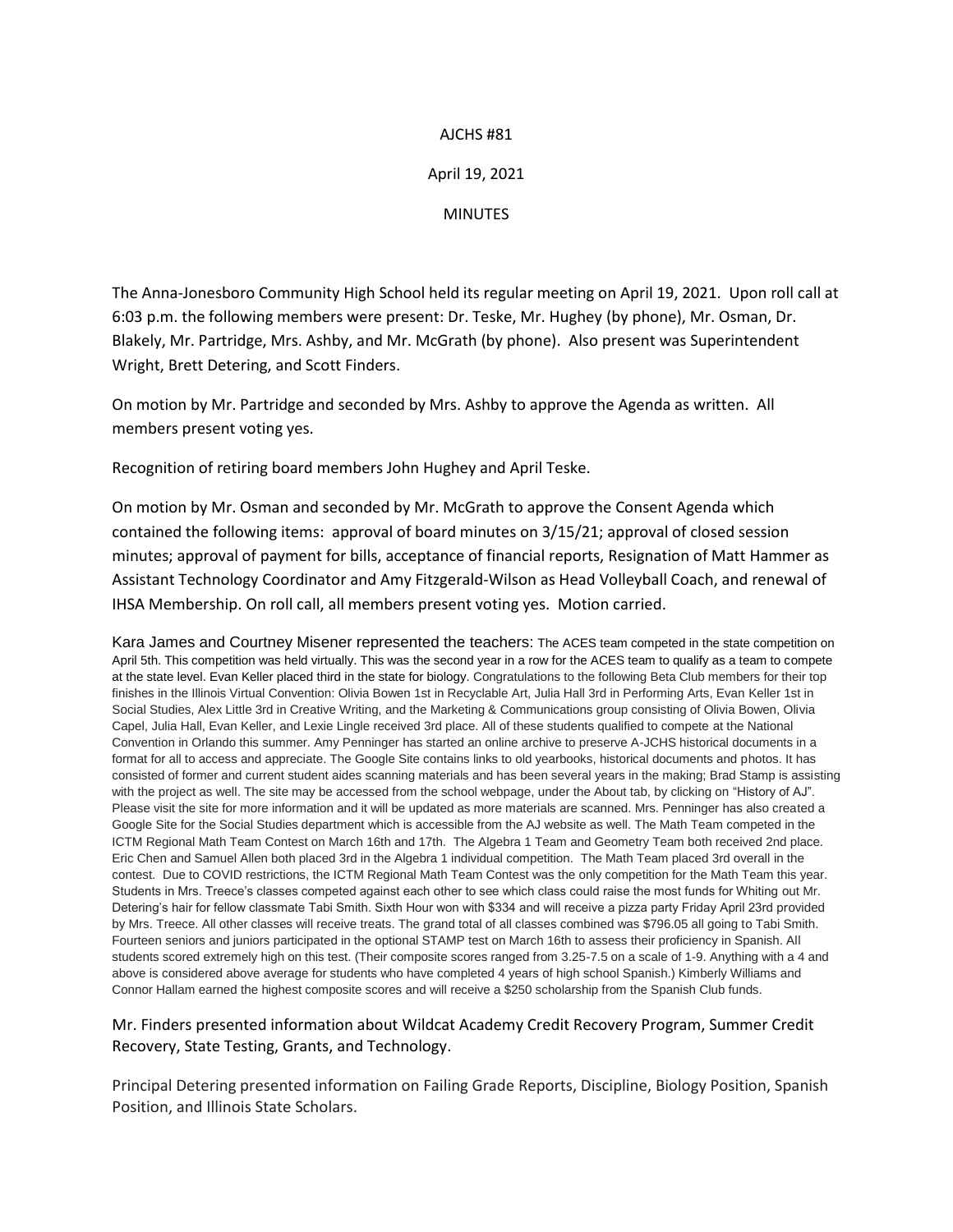### AJCHS #81

## April 19, 2021

#### MINUTES

The Anna-Jonesboro Community High School held its regular meeting on April 19, 2021. Upon roll call at 6:03 p.m. the following members were present: Dr. Teske, Mr. Hughey (by phone), Mr. Osman, Dr. Blakely, Mr. Partridge, Mrs. Ashby, and Mr. McGrath (by phone). Also present was Superintendent Wright, Brett Detering, and Scott Finders.

On motion by Mr. Partridge and seconded by Mrs. Ashby to approve the Agenda as written. All members present voting yes.

Recognition of retiring board members John Hughey and April Teske.

On motion by Mr. Osman and seconded by Mr. McGrath to approve the Consent Agenda which contained the following items: approval of board minutes on 3/15/21; approval of closed session minutes; approval of payment for bills, acceptance of financial reports, Resignation of Matt Hammer as Assistant Technology Coordinator and Amy Fitzgerald-Wilson as Head Volleyball Coach, and renewal of IHSA Membership. On roll call, all members present voting yes. Motion carried.

Kara James and Courtney Misener represented the teachers: The ACES team competed in the state competition on April 5th. This competition was held virtually. This was the second year in a row for the ACES team to qualify as a team to compete at the state level. Evan Keller placed third in the state for biology. Congratulations to the following Beta Club members for their top finishes in the Illinois Virtual Convention: Olivia Bowen 1st in Recyclable Art, Julia Hall 3rd in Performing Arts, Evan Keller 1st in Social Studies, Alex Little 3rd in Creative Writing, and the Marketing & Communications group consisting of Olivia Bowen, Olivia Capel, Julia Hall, Evan Keller, and Lexie Lingle received 3rd place. All of these students qualified to compete at the National Convention in Orlando this summer. Amy Penninger has started an online archive to preserve A-JCHS historical documents in a format for all to access and appreciate. The Google Site contains links to old yearbooks, historical documents and photos. It has consisted of former and current student aides scanning materials and has been several years in the making; Brad Stamp is assisting with the project as well. The site may be accessed from the school webpage, under the About tab, by clicking on "History of AJ". Please visit the site for more information and it will be updated as more materials are scanned. Mrs. Penninger has also created a Google Site for the Social Studies department which is accessible from the AJ website as well. The Math Team competed in the ICTM Regional Math Team Contest on March 16th and 17th. The Algebra 1 Team and Geometry Team both received 2nd place. Eric Chen and Samuel Allen both placed 3rd in the Algebra 1 individual competition. The Math Team placed 3rd overall in the contest. Due to COVID restrictions, the ICTM Regional Math Team Contest was the only competition for the Math Team this year. Students in Mrs. Treece's classes competed against each other to see which class could raise the most funds for Whiting out Mr. Detering's hair for fellow classmate Tabi Smith. Sixth Hour won with \$334 and will receive a pizza party Friday April 23rd provided by Mrs. Treece. All other classes will receive treats. The grand total of all classes combined was \$796.05 all going to Tabi Smith. Fourteen seniors and juniors participated in the optional STAMP test on March 16th to assess their proficiency in Spanish. All students scored extremely high on this test. (Their composite scores ranged from 3.25-7.5 on a scale of 1-9. Anything with a 4 and above is considered above average for students who have completed 4 years of high school Spanish.) Kimberly Williams and Connor Hallam earned the highest composite scores and will receive a \$250 scholarship from the Spanish Club funds.

## Mr. Finders presented information about Wildcat Academy Credit Recovery Program, Summer Credit Recovery, State Testing, Grants, and Technology.

Principal Detering presented information on Failing Grade Reports, Discipline, Biology Position, Spanish Position, and Illinois State Scholars.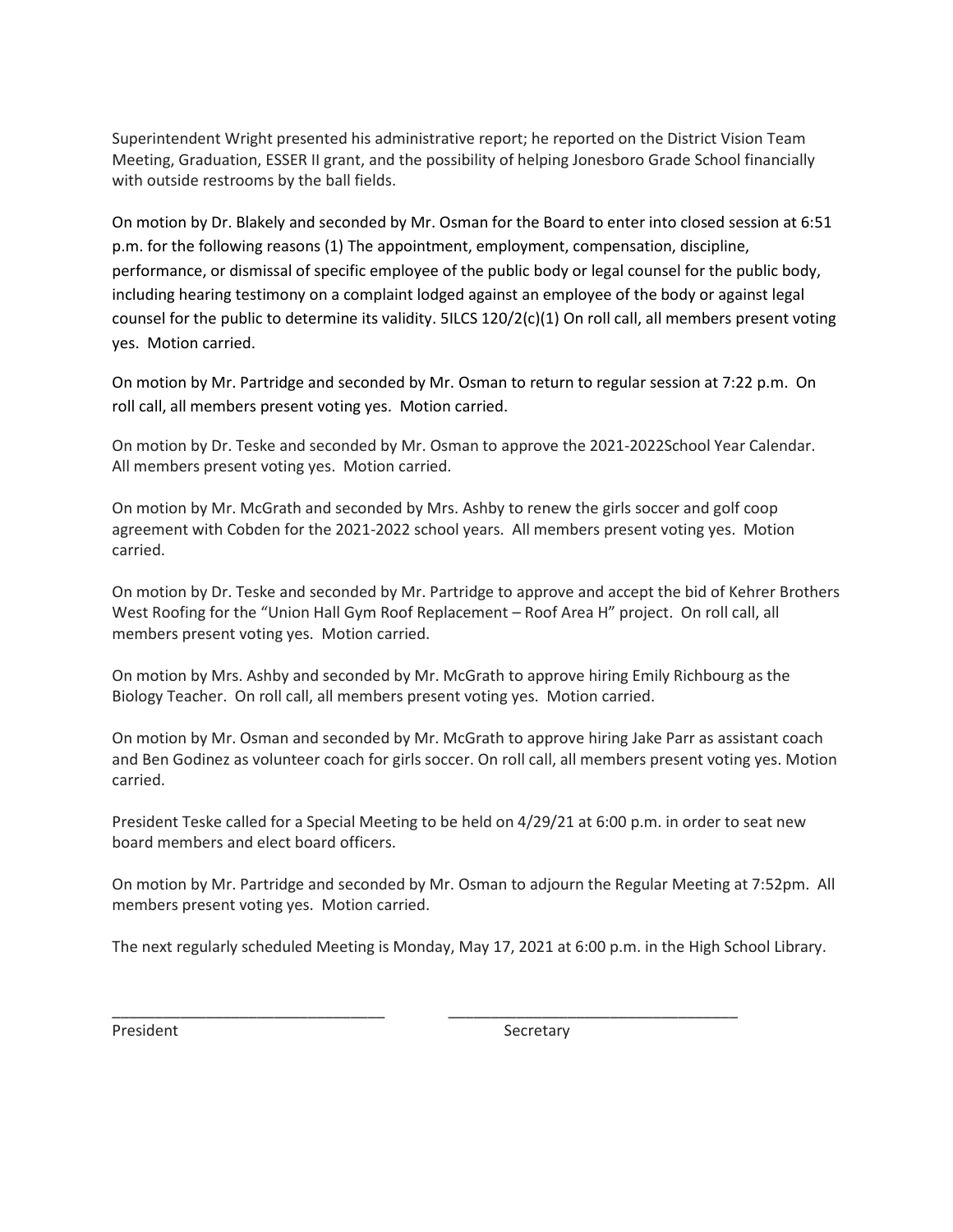Superintendent Wright presented his administrative report; he reported on the District Vision Team Meeting, Graduation, ESSER II grant, and the possibility of helping Jonesboro Grade School financially with outside restrooms by the ball fields.

On motion by Dr. Blakely and seconded by Mr. Osman for the Board to enter into closed session at 6:51 p.m. for the following reasons (1) The appointment, employment, compensation, discipline, performance, or dismissal of specific employee of the public body or legal counsel for the public body, including hearing testimony on a complaint lodged against an employee of the body or against legal counsel for the public to determine its validity. 5ILCS 120/2(c)(1) On roll call, all members present voting yes. Motion carried.

On motion by Mr. Partridge and seconded by Mr. Osman to return to regular session at 7:22 p.m. On roll call, all members present voting yes. Motion carried.

On motion by Dr. Teske and seconded by Mr. Osman to approve the 2021-2022School Year Calendar. All members present voting yes. Motion carried.

On motion by Mr. McGrath and seconded by Mrs. Ashby to renew the girls soccer and golf coop agreement with Cobden for the 2021-2022 school years. All members present voting yes. Motion carried.

On motion by Dr. Teske and seconded by Mr. Partridge to approve and accept the bid of Kehrer Brothers West Roofing for the "Union Hall Gym Roof Replacement – Roof Area H" project. On roll call, all members present voting yes. Motion carried.

On motion by Mrs. Ashby and seconded by Mr. McGrath to approve hiring Emily Richbourg as the Biology Teacher. On roll call, all members present voting yes. Motion carried.

On motion by Mr. Osman and seconded by Mr. McGrath to approve hiring Jake Parr as assistant coach and Ben Godinez as volunteer coach for girls soccer. On roll call, all members present voting yes. Motion carried.

President Teske called for a Special Meeting to be held on 4/29/21 at 6:00 p.m. in order to seat new board members and elect board officers.

On motion by Mr. Partridge and seconded by Mr. Osman to adjourn the Regular Meeting at 7:52pm. All members present voting yes. Motion carried.

The next regularly scheduled Meeting is Monday, May 17, 2021 at 6:00 p.m. in the High School Library.

\_\_\_\_\_\_\_\_\_\_\_\_\_\_\_\_\_\_\_\_\_\_\_\_\_\_\_\_\_\_\_\_ \_\_\_\_\_\_\_\_\_\_\_\_\_\_\_\_\_\_\_\_\_\_\_\_\_\_\_\_\_\_\_\_\_\_

President **Secretary**